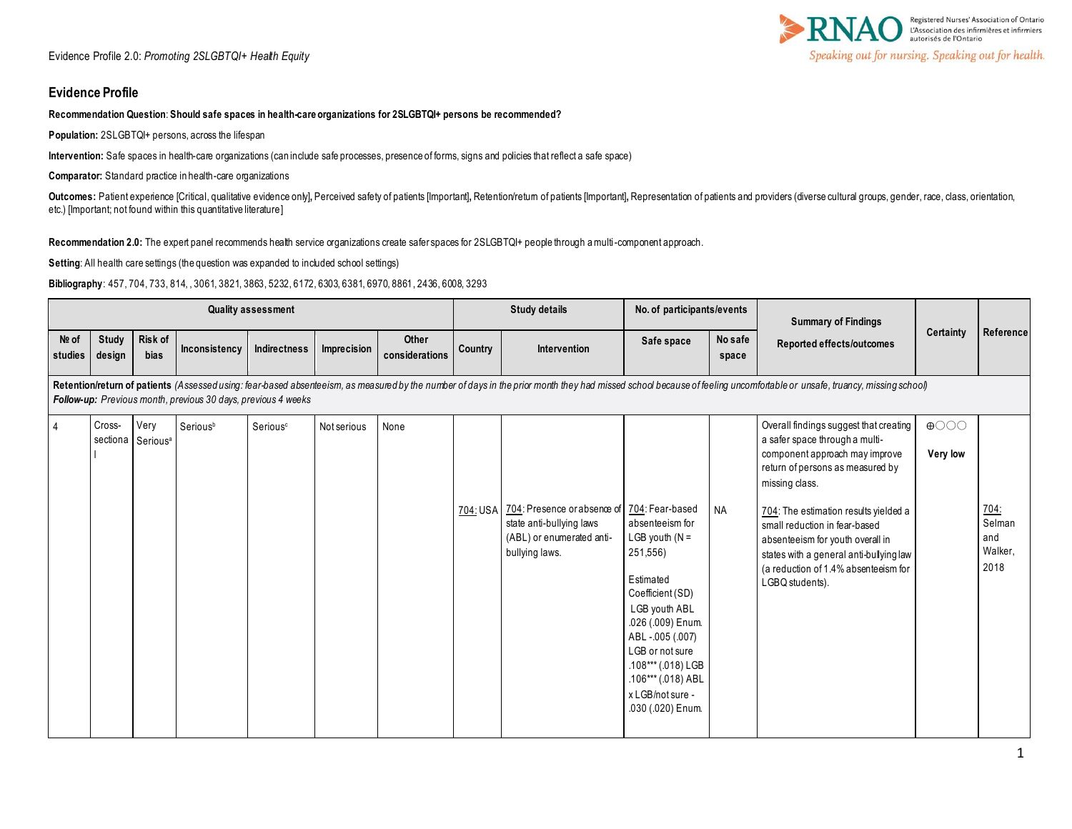

### **Evidence Profile**

#### **Recommendation Question**: **Should safe spaces in health-care organizations for 2SLGBTQI+ persons be recommended?**

**Population:** 2SLGBTQI+ persons, across the lifespan

**Intervention:** Safe spaces in health-care organizations (can include safe processes, presence of forms, signs and policies that reflect a safe space)

**Comparator:** Standard practice in health-care organizations

Outcomes: Patient experience [Critical, qualitative evidence only], Perceived safety of patients [Important], Retention/retum of patients [Important], Representation of patients and providers (diverse cultural groups, gend etc.) [Important; not found within this quantitative literature]

**Recommendation 2.0:** The expert panel recommends health service organizations create safer spaces for 2SLGBTQI+ people through a multi-component approach.

Setting: All health care settings (the question was expanded to included school settings)

**Bibliography**: 457, 704, 733, 814, , 3061, 3821, 3863, 5232, 6172, 6303, 6381, 6970, 8861, 2436, 6008, 3293

|                  |                        |                                       |                                                                      | <b>Quality assessment</b> |             |                         |         | <b>Study details</b>                                                                                                            | No. of participants/events                                                                                                                                                                                                                        |                  | <b>Summary of Findings</b>                                                                                                                                                                                                                                                                                                                                                           |                                               |                                                 |
|------------------|------------------------|---------------------------------------|----------------------------------------------------------------------|---------------------------|-------------|-------------------------|---------|---------------------------------------------------------------------------------------------------------------------------------|---------------------------------------------------------------------------------------------------------------------------------------------------------------------------------------------------------------------------------------------------|------------------|--------------------------------------------------------------------------------------------------------------------------------------------------------------------------------------------------------------------------------------------------------------------------------------------------------------------------------------------------------------------------------------|-----------------------------------------------|-------------------------------------------------|
| Nº of<br>studies | <b>Study</b><br>design | Risk of<br>bias                       | Inconsistency                                                        | Indirectness              | Imprecision | Other<br>considerations | Country | <b>Intervention</b>                                                                                                             | Safe space                                                                                                                                                                                                                                        | No safe<br>space | Reported effects/outcomes                                                                                                                                                                                                                                                                                                                                                            | Certainty                                     | Reference                                       |
|                  |                        |                                       | <b>Follow-up:</b> Previous month, previous 30 days, previous 4 weeks |                           |             |                         |         |                                                                                                                                 |                                                                                                                                                                                                                                                   |                  | Retention/return of patients (Assessed using: fear-based absenteeism, as measured by the number of days in the prior month they had missed school because of feeling uncomfortable or unsafe, truancy, missing school)                                                                                                                                                               |                                               |                                                 |
| $\overline{4}$   | Cross-                 | Very<br>sectiona Serious <sup>a</sup> | Seriousb                                                             | Serious <sup>c</sup>      | Not serious | None                    |         | 704: USA 704: Presence or absence of 704: Fear-based<br>state anti-bullying laws<br>(ABL) or enumerated anti-<br>bullying laws. | absenteeism for<br>LGB youth $(N =$<br>251,556)<br>Estimated<br>Coefficient (SD)<br>LGB youth ABL<br>.026 (.009) Enum.<br>ABL-.005 (.007)<br>LGB or not sure<br>.108*** (.018) LGB<br>.106*** (.018) ABL<br>x LGB/not sure -<br>.030 (.020) Enum. | <b>NA</b>        | Overall findings suggest that creating<br>a safer space through a multi-<br>component approach may improve<br>return of persons as measured by<br>missing class.<br>704: The estimation results yielded a<br>small reduction in fear-based<br>absenteeism for youth overall in<br>states with a general anti-bullying law<br>(a reduction of 1.4% absenteeism for<br>LGBQ students). | $\bigoplus$ $\bigcirc$ $\bigcirc$<br>Very low | <u>704:</u><br>Selman<br>and<br>Walker,<br>2018 |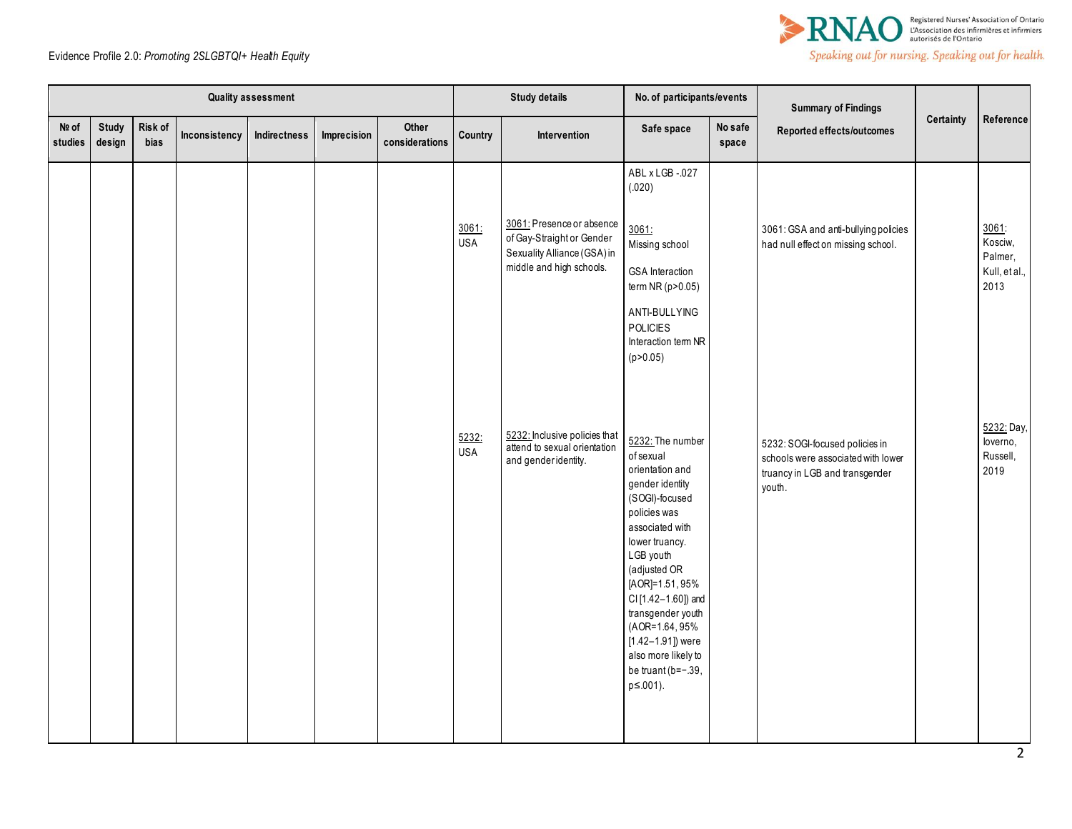



|                  |                 |                 |               | Quality assessment |             |                         |                     | <b>Study details</b>                                                                                              | No. of participants/events                                                                                                                                                                                                                                                                                                                          |                  | <b>Summary of Findings</b>                                                                                       |           |                                                      |
|------------------|-----------------|-----------------|---------------|--------------------|-------------|-------------------------|---------------------|-------------------------------------------------------------------------------------------------------------------|-----------------------------------------------------------------------------------------------------------------------------------------------------------------------------------------------------------------------------------------------------------------------------------------------------------------------------------------------------|------------------|------------------------------------------------------------------------------------------------------------------|-----------|------------------------------------------------------|
| Nº of<br>studies | Study<br>design | Risk of<br>bias | Inconsistency | Indirectness       | Imprecision | Other<br>considerations | Country             | Intervention                                                                                                      | Safe space                                                                                                                                                                                                                                                                                                                                          | No safe<br>space | Reported effects/outcomes                                                                                        | Certainty | Reference                                            |
|                  |                 |                 |               |                    |             |                         | 3061:<br><b>USA</b> | 3061: Presence or absence<br>of Gay-Straight or Gender<br>Sexuality Alliance (GSA) in<br>middle and high schools. | ABL x LGB -.027<br>(.020)<br>3061:<br>Missing school<br><b>GSA</b> Interaction<br>term $NR$ ( $p > 0.05$ )<br>ANTI-BULLYING<br><b>POLICIES</b><br>Interaction term NR<br>(p > 0.05)                                                                                                                                                                 |                  | 3061: GSA and anti-bullying policies<br>had null effect on missing school.                                       |           | 3061:<br>Kosciw,<br>Palmer,<br>Kull, et al.,<br>2013 |
|                  |                 |                 |               |                    |             |                         | 5232:<br><b>USA</b> | 5232: Inclusive policies that<br>attend to sexual orientation<br>and genderidentity.                              | 5232: The number<br>of sexual<br>orientation and<br>gender identity<br>(SOGI)-focused<br>policies was<br>associated with<br>lower truancy.<br>LGB youth<br>(adjusted OR<br>[AOR]=1.51,95%<br>CI [1.42-1.60]) and<br>transgender youth<br>(AOR=1.64, 95%)<br>$[1.42 - 1.91]$ ) were<br>also more likely to<br>be truant (b=-.39,<br>$p \le 0.001$ ). |                  | 5232: SOGI-focused policies in<br>schools were associated with lower<br>truancy in LGB and transgender<br>youth. |           | 5232: Day,<br>loverno,<br>Russell,<br>2019           |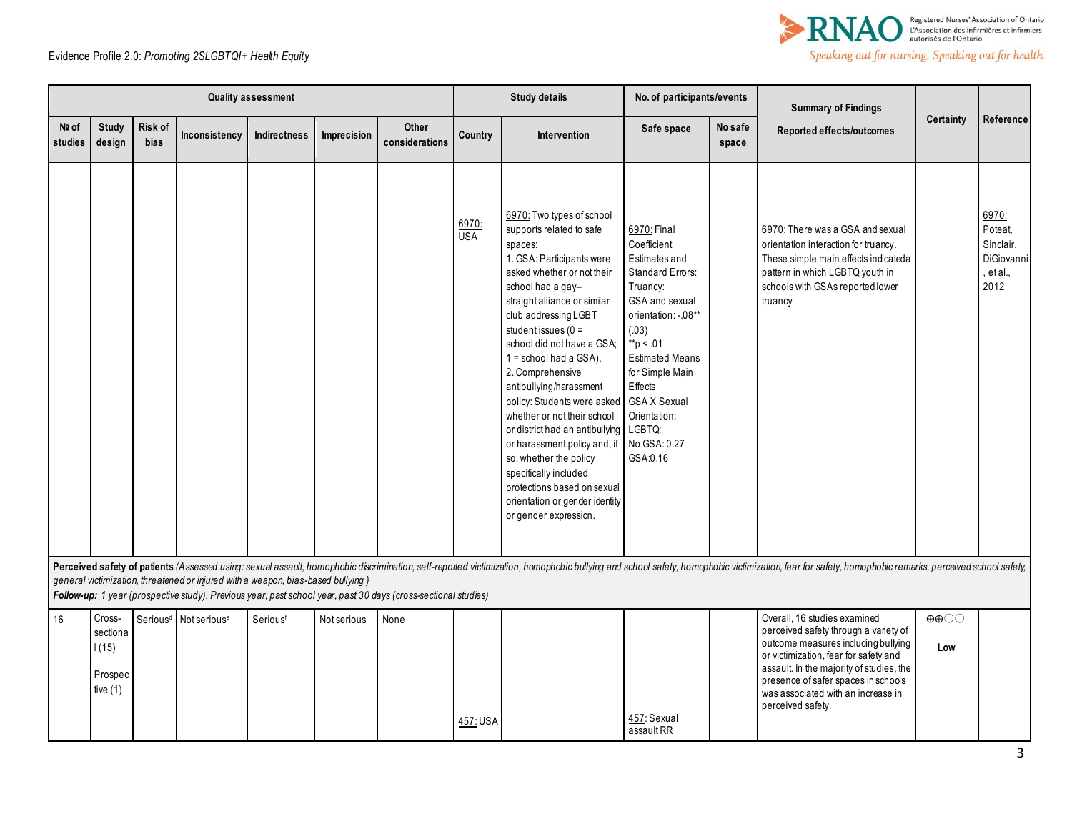

|                  |                                                      |                        |                                                                                  | <b>Quality assessment</b> |             |                                                                                                                |                     | <b>Study details</b>                                                                                                                                                                                                                                                                                                                                                                                                                                                                                                                                                                                                            | No. of participants/events                                                                                                                                                                                                                                                      |                  | <b>Summary of Findings</b>                                                                                                                                                                                                                                                                          |                                          |                                                                  |
|------------------|------------------------------------------------------|------------------------|----------------------------------------------------------------------------------|---------------------------|-------------|----------------------------------------------------------------------------------------------------------------|---------------------|---------------------------------------------------------------------------------------------------------------------------------------------------------------------------------------------------------------------------------------------------------------------------------------------------------------------------------------------------------------------------------------------------------------------------------------------------------------------------------------------------------------------------------------------------------------------------------------------------------------------------------|---------------------------------------------------------------------------------------------------------------------------------------------------------------------------------------------------------------------------------------------------------------------------------|------------------|-----------------------------------------------------------------------------------------------------------------------------------------------------------------------------------------------------------------------------------------------------------------------------------------------------|------------------------------------------|------------------------------------------------------------------|
| Nº of<br>studies | <b>Study</b><br>design                               | Risk of<br><b>bias</b> | Inconsistency                                                                    | <b>Indirectness</b>       | Imprecision | Other<br>considerations                                                                                        | Country             | Intervention                                                                                                                                                                                                                                                                                                                                                                                                                                                                                                                                                                                                                    | Safe space                                                                                                                                                                                                                                                                      | No safe<br>space | Reported effects/outcomes                                                                                                                                                                                                                                                                           | <b>Certainty</b>                         | Reference                                                        |
|                  |                                                      |                        |                                                                                  |                           |             |                                                                                                                | 6970:<br><b>USA</b> | 6970: Two types of school<br>supports related to safe<br>spaces:<br>1. GSA: Participants were<br>asked whether or not their<br>school had a gay-<br>straight alliance or similar<br>club addressing LGBT<br>student issues $(0 =$<br>school did not have a GSA;<br>$1 =$ school had a GSA).<br>2. Comprehensive<br>antibullying/harassment<br>policy: Students were asked<br>whether or not their school<br>or district had an antibullying LGBTQ:<br>or harassment policy and, if<br>so, whether the policy<br>specifically included<br>protections based on sexual<br>orientation or gender identity<br>or gender expression. | 6970: Final<br>Coefficient<br>Estimates and<br><b>Standard Errors:</b><br>Truancy:<br>GSA and sexual<br>orientation: -. 08**<br>(.03)<br>$*$ p < .01<br><b>Estimated Means</b><br>for Simple Main<br>Effects<br><b>GSA X Sexual</b><br>Orientation:<br>No GSA: 0.27<br>GSA:0.16 |                  | 6970: There was a GSA and sexual<br>orientation interaction for truancy.<br>These simple main effects indicateda<br>pattern in which LGBTQ youth in<br>schools with GSAs reported lower<br>truancy                                                                                                  |                                          | 6970:<br>Poteat,<br>Sinclair,<br>DiGiovanni<br>, et al.,<br>2012 |
|                  |                                                      |                        | general victimization, threatened or injured with a weapon, bias-based bullying) |                           |             | Follow-up: 1 year (prospective study), Previous year, past school year, past 30 days (cross-sectional studies) |                     |                                                                                                                                                                                                                                                                                                                                                                                                                                                                                                                                                                                                                                 |                                                                                                                                                                                                                                                                                 |                  | Perceived safety of patients (Assessed using: sexual assault, homophobic discrimination, self-reported victimization, homophobic bullying and school safety, homophobic victimization, fear for safety, homophobic remarks, pe                                                                      |                                          |                                                                  |
| 16               | Cross-<br>sectiona<br>1(15)<br>Prospec<br>tive $(1)$ |                        | Serious <sup>d</sup> Not serious <sup>e</sup>                                    | Seriousf                  | Not serious | None                                                                                                           | 457: USA            |                                                                                                                                                                                                                                                                                                                                                                                                                                                                                                                                                                                                                                 | 457: Sexual<br>assault RR                                                                                                                                                                                                                                                       |                  | Overall, 16 studies examined<br>perceived safety through a variety of<br>outcome measures including bullying<br>or victimization, fear for safety and<br>assault. In the majority of studies, the<br>presence of safer spaces in schools<br>was associated with an increase in<br>perceived safety. | $\oplus \oplus \bigcirc \bigcirc$<br>Low |                                                                  |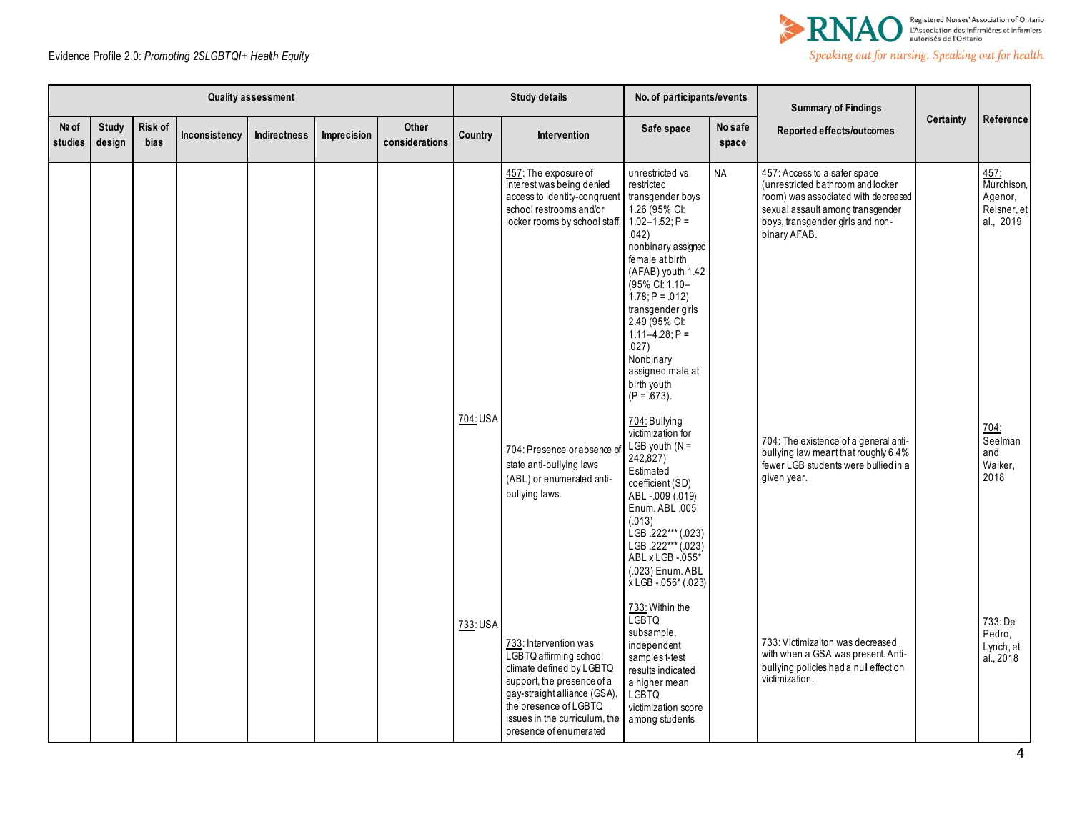

|                  |                 |                 |               | <b>Quality assessment</b> |             |                         |          | <b>Study details</b>                                                                                                                                                                                                          | No. of participants/events                                                                                                                                                                                                                                                                                                                                      |                  | <b>Summary of Findings</b>                                                                                                                                                                       |           |                                                                   |
|------------------|-----------------|-----------------|---------------|---------------------------|-------------|-------------------------|----------|-------------------------------------------------------------------------------------------------------------------------------------------------------------------------------------------------------------------------------|-----------------------------------------------------------------------------------------------------------------------------------------------------------------------------------------------------------------------------------------------------------------------------------------------------------------------------------------------------------------|------------------|--------------------------------------------------------------------------------------------------------------------------------------------------------------------------------------------------|-----------|-------------------------------------------------------------------|
| No of<br>studies | Study<br>design | Risk of<br>bias | Inconsistency | Indirectness              | Imprecision | Other<br>considerations | Country  | Intervention                                                                                                                                                                                                                  | Safe space                                                                                                                                                                                                                                                                                                                                                      | No safe<br>space | Reported effects/outcomes                                                                                                                                                                        | Certainty | Reference                                                         |
|                  |                 |                 |               |                           |             |                         | 704: USA | 457: The exposure of<br>interest was being denied<br>access to identity-congruent<br>school restrooms and/or<br>locker rooms by school staff                                                                                  | unrestricted vs<br>restricted<br>transgender boys<br>1.26 (95% CI:<br>$1.02 - 1.52$ ; P =<br>.042)<br>nonbinary assigned<br>female at birth<br>(AFAB) youth 1.42<br>(95% CI: 1.10-<br>$1.78; P = .012$<br>transgender girls<br>2.49 (95% CI:<br>$1.11 - 4.28$ ; P =<br>.027)<br>Nonbinary<br>assigned male at<br>birth youth<br>$(P = .673)$ .<br>704: Bullying | <b>NA</b>        | 457: Access to a safer space<br>(unrestricted bathroom and locker<br>room) was associated with decreased<br>sexual assault among transgender<br>boys, transgender girls and non-<br>binary AFAB. |           | 457:<br>Murchison,<br>Agenor,<br>Reisner, et<br>al., 2019<br>704: |
|                  |                 |                 |               |                           |             |                         |          | 704: Presence or absence o<br>state anti-bullying laws<br>(ABL) or enumerated anti-<br>bullying laws.                                                                                                                         | victimization for<br>LGB youth $(N =$<br>242,827)<br>Estimated<br>coefficient (SD)<br>ABL-.009 (.019)<br>Enum. ABL .005<br>(.013)<br>LGB .222*** (.023)<br>LGB .222*** (.023)<br>ABL x LGB - 055*<br>(.023) Enum. ABL<br>x LGB - 056* (.023)                                                                                                                    |                  | 704: The existence of a general anti-<br>bullying law meant that roughly 6.4%<br>fewer LGB students were bullied in a<br>given year.                                                             |           | Seelman<br>and<br>Walker,<br>2018                                 |
|                  |                 |                 |               |                           |             |                         | 733: USA | 733: Intervention was<br>LGBTQ affirming school<br>climate defined by LGBTQ<br>support, the presence of a<br>gay-straight alliance (GSA),<br>the presence of LGBTQ<br>issues in the curriculum, the<br>presence of enumerated | 733: Within the<br><b>LGBTQ</b><br>subsample,<br>independent<br>samples t-test<br>results indicated<br>a higher mean<br><b>LGBTQ</b><br>victimization score<br>among students                                                                                                                                                                                   |                  | 733: Victimizaiton was decreased<br>with when a GSA was present. Anti-<br>bullying policies had a null effect on<br>victimization.                                                               |           | 733: De<br>Pedro,<br>Lynch, et<br>al., 2018                       |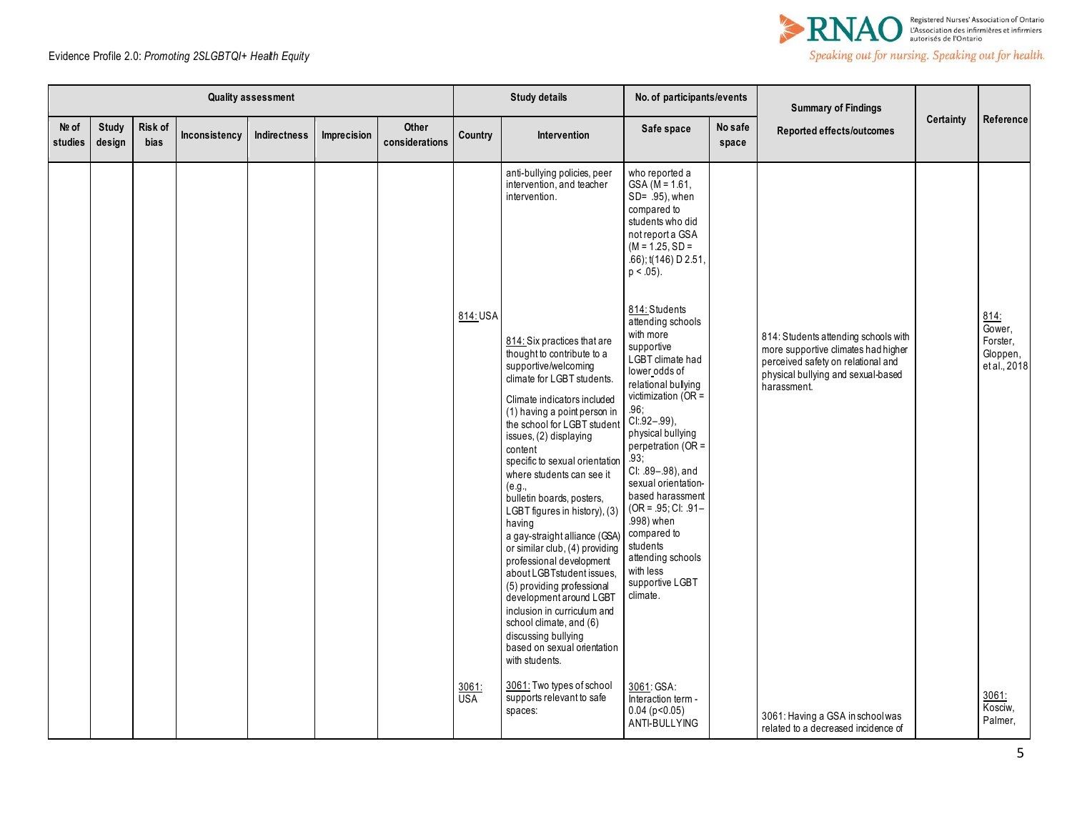

|                  |                        |                 |               | <b>Quality assessment</b> |             |                                |              | <b>Study details</b>                                                                                                                                                                                                                                                                                                                                                                                                                                                                                                                                                                                                                                                                                                      | No. of participants/events                                                                                                                                                                                                                                                                                                                                                                                                              |                  | <b>Summary of Findings</b>                                                                                                                                             |                  |                                                        |
|------------------|------------------------|-----------------|---------------|---------------------------|-------------|--------------------------------|--------------|---------------------------------------------------------------------------------------------------------------------------------------------------------------------------------------------------------------------------------------------------------------------------------------------------------------------------------------------------------------------------------------------------------------------------------------------------------------------------------------------------------------------------------------------------------------------------------------------------------------------------------------------------------------------------------------------------------------------------|-----------------------------------------------------------------------------------------------------------------------------------------------------------------------------------------------------------------------------------------------------------------------------------------------------------------------------------------------------------------------------------------------------------------------------------------|------------------|------------------------------------------------------------------------------------------------------------------------------------------------------------------------|------------------|--------------------------------------------------------|
| Nº of<br>studies | <b>Study</b><br>design | Risk of<br>bias | Inconsistency | <b>Indirectness</b>       | Imprecision | <b>Other</b><br>considerations | Country      | Intervention                                                                                                                                                                                                                                                                                                                                                                                                                                                                                                                                                                                                                                                                                                              | Safe space                                                                                                                                                                                                                                                                                                                                                                                                                              | No safe<br>space | Reported effects/outcomes                                                                                                                                              | <b>Certainty</b> | Reference                                              |
|                  |                        |                 |               |                           |             |                                |              | anti-bullying policies, peer<br>intervention, and teacher<br>intervention.                                                                                                                                                                                                                                                                                                                                                                                                                                                                                                                                                                                                                                                | who reported a<br>$GSA$ (M = 1.61,<br>$SD = 95$ , when<br>compared to<br>students who did<br>not report a GSA<br>$(M = 1.25, SD =$<br>.66); t(146) D 2.51,<br>$p < .05$ ).                                                                                                                                                                                                                                                              |                  |                                                                                                                                                                        |                  |                                                        |
|                  |                        |                 |               |                           |             |                                | 814: USA     | 814: Six practices that are<br>thought to contribute to a<br>supportive/welcoming<br>climate for LGBT students.<br>Climate indicators included<br>(1) having a point person in<br>the school for LGBT student<br>issues, (2) displaying<br>content<br>specific to sexual orientation<br>where students can see it<br>(e.g.,<br>bulletin boards, posters,<br>LGBT figures in history), (3)<br>having<br>a gay-straight alliance (GSA<br>or similar club, (4) providing<br>professional development<br>about LGBTstudent issues,<br>(5) providing professional<br>development around LGBT<br>inclusion in curriculum and<br>school climate, and (6)<br>discussing bullying<br>based on sexual orientation<br>with students. | 814: Students<br>attending schools<br>with more<br>supportive<br>LGBT climate had<br>lower odds of<br>relational bullying<br>victimization ( $OR =$<br>.96,<br>$CI.92 - .99$ ),<br>physical bullying<br>perpetration ( $OR =$<br>93,<br>Cl: 89-.98), and<br>sexual orientation-<br>based harassment<br>$(OR = .95; CI: .91 -$<br>.998) when<br>compared to<br>students<br>attending schools<br>with less<br>supportive LGBT<br>climate. |                  | 814: Students attending schools with<br>more supportive climates had higher<br>perceived safety on relational and<br>physical bullying and sexual-based<br>harassment. |                  | 814:<br>Gower.<br>Forster,<br>Gloppen,<br>et al., 2018 |
|                  |                        |                 |               |                           |             |                                | 3061:<br>USA | 3061: Two types of school<br>supports relevant to safe<br>spaces:                                                                                                                                                                                                                                                                                                                                                                                                                                                                                                                                                                                                                                                         | 3061: GSA:<br>Interaction term -<br>$0.04$ (p < 0.05)<br>ANTI-BULLYING                                                                                                                                                                                                                                                                                                                                                                  |                  | 3061: Having a GSA in school was<br>related to a decreased incidence of                                                                                                |                  | 3061:<br>Kosciw,<br>Palmer,                            |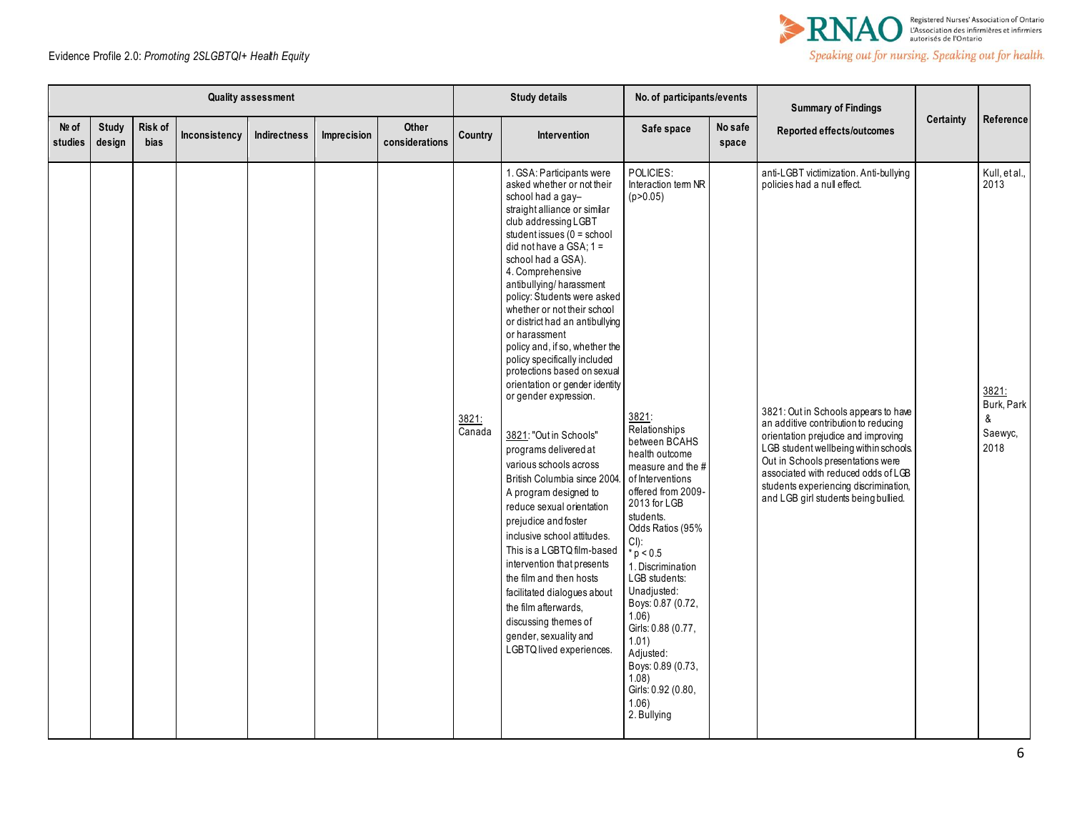

|                  |                 |                        |               | Quality assessment |             |                                |                 | <b>Study details</b>                                                                                                                                                                                                                                                                                                                                                                                                                                                                                                                                                                                                                                                                                                                                                                                                                                                                                                                                                                                      | No. of participants/events                                                                                                                                                                                                                                                                                                                                                                                                                                          |                  | <b>Summary of Findings</b>                                                                                                                                                                                                                                                                                                                                                                         |                  |                                                                      |
|------------------|-----------------|------------------------|---------------|--------------------|-------------|--------------------------------|-----------------|-----------------------------------------------------------------------------------------------------------------------------------------------------------------------------------------------------------------------------------------------------------------------------------------------------------------------------------------------------------------------------------------------------------------------------------------------------------------------------------------------------------------------------------------------------------------------------------------------------------------------------------------------------------------------------------------------------------------------------------------------------------------------------------------------------------------------------------------------------------------------------------------------------------------------------------------------------------------------------------------------------------|---------------------------------------------------------------------------------------------------------------------------------------------------------------------------------------------------------------------------------------------------------------------------------------------------------------------------------------------------------------------------------------------------------------------------------------------------------------------|------------------|----------------------------------------------------------------------------------------------------------------------------------------------------------------------------------------------------------------------------------------------------------------------------------------------------------------------------------------------------------------------------------------------------|------------------|----------------------------------------------------------------------|
| Nº of<br>studies | Study<br>design | Risk of<br><b>bias</b> | Inconsistency | Indirectness       | Imprecision | <b>Other</b><br>considerations | Country         | Intervention                                                                                                                                                                                                                                                                                                                                                                                                                                                                                                                                                                                                                                                                                                                                                                                                                                                                                                                                                                                              | Safe space                                                                                                                                                                                                                                                                                                                                                                                                                                                          | No safe<br>space | Reported effects/outcomes                                                                                                                                                                                                                                                                                                                                                                          | <b>Certainty</b> | Reference                                                            |
|                  |                 |                        |               |                    |             |                                | 3821:<br>Canada | 1. GSA: Participants were<br>asked whether or not their<br>school had a gay-<br>straight alliance or similar<br>club addressing LGBT<br>student issues (0 = school<br>did not have a $GSA$ ; $1 =$<br>school had a GSA).<br>4. Comprehensive<br>antibullying/harassment<br>policy: Students were asked<br>whether or not their school<br>or district had an antibullying<br>or harassment<br>policy and, if so, whether the<br>policy specifically included<br>protections based on sexual<br>orientation or gender identity<br>or gender expression.<br>3821: "Out in Schools"<br>programs delivered at<br>various schools across<br>British Columbia since 2004<br>A program designed to<br>reduce sexual orientation<br>prejudice and foster<br>inclusive school attitudes.<br>This is a LGBTQ film-based<br>intervention that presents<br>the film and then hosts<br>facilitated dialogues about<br>the film afterwards,<br>discussing themes of<br>gender, sexuality and<br>LGBTQ lived experiences. | POLICIES:<br>Interaction tem NR<br>(p > 0.05)<br>3821:<br>Relationships<br>between BCAHS<br>health outcome<br>measure and the #<br>of Interventions<br>offered from 2009-<br>2013 for LGB<br>students.<br>Odds Ratios (95%<br>CI):<br>$*_{p}$ < 0.5<br>1. Discrimination<br>LGB students:<br>Unadjusted:<br>Boys: 0.87 (0.72,<br>$1.06$ )<br>Girls: 0.88 (0.77,<br>1.01<br>Adjusted:<br>Boys: 0.89 (0.73,<br>1.08)<br>Girls: 0.92 (0.80,<br>$1.06$ )<br>2. Bullying |                  | anti-LGBT victimization. Anti-bullying<br>policies had a null effect.<br>3821: Out in Schools appears to have<br>an additive contribution to reducing<br>orientation prejudice and improving<br>LGB student wellbeing within schools.<br>Out in Schools presentations were<br>associated with reduced odds of LGB<br>students experiencing discrimination,<br>and LGB girl students being bullied. |                  | Kull, et al.,<br>2013<br>3821:<br>Burk, Park<br>&<br>Saewyc,<br>2018 |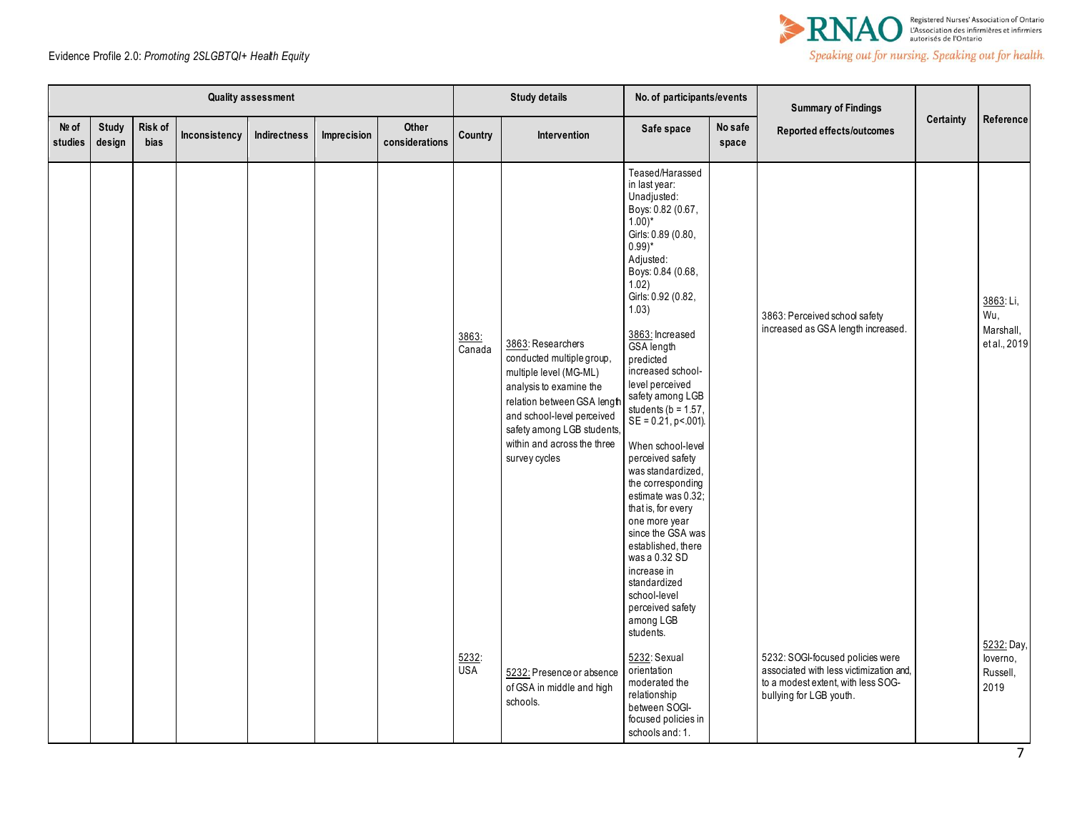

|                  |                 |                 |               | <b>Quality assessment</b> |             |                         |                  | <b>Study details</b>                                                                                                                                                                                                                          | No. of participants/events                                                                                                                                                                                                                                                                                                                                                                                                                                                                                                                                                                                                                                           |                  | <b>Summary of Findings</b>                                                                                                                   |           |                                               |
|------------------|-----------------|-----------------|---------------|---------------------------|-------------|-------------------------|------------------|-----------------------------------------------------------------------------------------------------------------------------------------------------------------------------------------------------------------------------------------------|----------------------------------------------------------------------------------------------------------------------------------------------------------------------------------------------------------------------------------------------------------------------------------------------------------------------------------------------------------------------------------------------------------------------------------------------------------------------------------------------------------------------------------------------------------------------------------------------------------------------------------------------------------------------|------------------|----------------------------------------------------------------------------------------------------------------------------------------------|-----------|-----------------------------------------------|
| Nº of<br>studies | Study<br>design | Risk of<br>bias | Inconsistency | Indirectness              | Imprecision | Other<br>considerations | Country          | Intervention                                                                                                                                                                                                                                  | Safe space                                                                                                                                                                                                                                                                                                                                                                                                                                                                                                                                                                                                                                                           | No safe<br>space | Reported effects/outcomes                                                                                                                    | Certainty | Reference                                     |
|                  |                 |                 |               |                           |             |                         | 3863:<br>Canada  | 3863: Researchers<br>conducted multiple group,<br>multiple level (MG-ML)<br>analysis to examine the<br>relation between GSA lengt<br>and school-level perceived<br>safety among LGB students,<br>within and across the three<br>survey cycles | Teased/Harassed<br>in last year:<br>Unadjusted:<br>Boys: 0.82 (0.67,<br>$1.00$ <sup>*</sup><br>Girls: 0.89 (0.80,<br>$0.99)$ *<br>Adjusted:<br>Boys: 0.84 (0.68,<br>1.02)<br>Girls: 0.92 (0.82,<br>1.03)<br>3863: Increased<br>GSA length<br>predicted<br>increased school-<br>level perceived<br>safety among LGB<br>students ( $b = 1.57$ ,<br>$SE = 0.21$ , p < 001).<br>When school-level<br>perceived safety<br>was standardized.<br>the corresponding<br>estimate was 0.32;<br>that is, for every<br>one more year<br>since the GSA was<br>established, there<br>was a 0.32 SD<br>increase in<br>standardized<br>school-level<br>perceived safety<br>among LGB |                  | 3863: Perceived school safety<br>increased as GSA length increased.                                                                          |           | 3863: Li,<br>Wu,<br>Marshall,<br>et al., 2019 |
|                  |                 |                 |               |                           |             |                         | $rac{5232}{USA}$ | 5232: Presence or absence<br>of GSA in middle and high<br>schools.                                                                                                                                                                            | students.<br>5232: Sexual<br>orientation<br>moderated the<br>relationship<br>between SOGI-<br>focused policies in<br>schools and: 1.                                                                                                                                                                                                                                                                                                                                                                                                                                                                                                                                 |                  | 5232: SOGI-focused policies were<br>associated with less victimization and,<br>to a modest extent, with less SOG-<br>bullying for LGB youth. |           | 5232: Day,<br>loverno,<br>Russell,<br>2019    |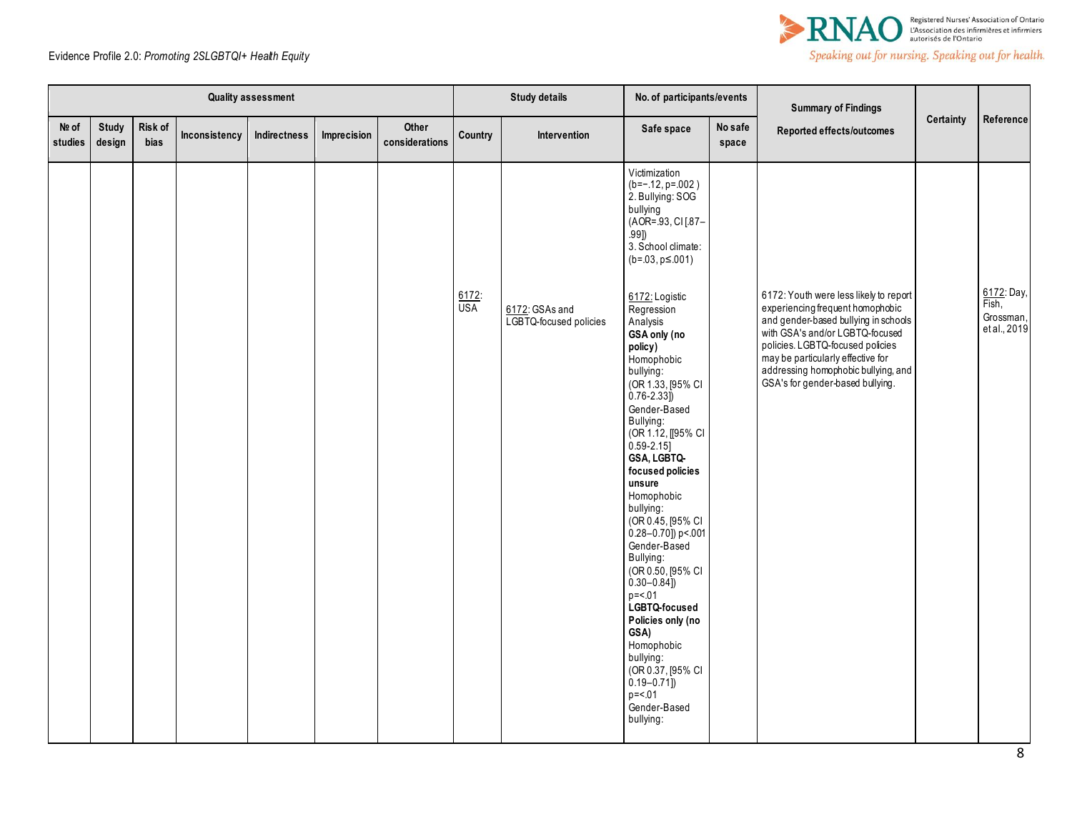

|                  |                        |                 |               | <b>Quality assessment</b> |             |                         |                  | <b>Study details</b>                     | No. of participants/events                                                                                                                                                                                                                                                                                                                                                                                                                                                                                                                                                         |                  | <b>Summary of Findings</b>                                                                                                                                                                                                                                                                                |           |                                                  |
|------------------|------------------------|-----------------|---------------|---------------------------|-------------|-------------------------|------------------|------------------------------------------|------------------------------------------------------------------------------------------------------------------------------------------------------------------------------------------------------------------------------------------------------------------------------------------------------------------------------------------------------------------------------------------------------------------------------------------------------------------------------------------------------------------------------------------------------------------------------------|------------------|-----------------------------------------------------------------------------------------------------------------------------------------------------------------------------------------------------------------------------------------------------------------------------------------------------------|-----------|--------------------------------------------------|
| Nº of<br>studies | <b>Study</b><br>design | Risk of<br>bias | Inconsistency | Indirectness              | Imprecision | Other<br>considerations | Country          | Intervention                             | Safe space                                                                                                                                                                                                                                                                                                                                                                                                                                                                                                                                                                         | No safe<br>space | Reported effects/outcomes                                                                                                                                                                                                                                                                                 | Certainty | Reference                                        |
|                  |                        |                 |               |                           |             |                         |                  |                                          | Victimization<br>$(b=-.12, p=.002)$<br>2. Bullying: SOG<br>bullying<br>(AOR= 93, CI[87-<br>.991)<br>3. School climate:<br>$(b=.03, p \le 001)$                                                                                                                                                                                                                                                                                                                                                                                                                                     |                  |                                                                                                                                                                                                                                                                                                           |           |                                                  |
|                  |                        |                 |               |                           |             |                         | $rac{6172}{USA}$ | 6172: GSAs and<br>LGBTQ-focused policies | 6172: Logistic<br>Regression<br>Analysis<br>GSA only (no<br>policy)<br>Homophobic<br>bullying:<br>(OR 1.33, [95% CI<br>$0.76 - 2.33$ ]<br>Gender-Based<br>Bullying:<br>(OR 1.12, [[95% CI<br>$0.59 - 2.15$<br>GSA, LGBTQ-<br>focused policies<br>unsure<br>Homophobic<br>bullying:<br>(OR 0.45, [95% CI<br>$0.28 - 0.70$ ]) p< 001<br>Gender-Based<br>Bullying:<br>(OR 0.50, [95% CI<br>$0.30 - 0.84$ ])<br>$p = 0.01$<br>LGBTQ-focused<br>Policies only (no<br>GSA)<br>Homophobic<br>bullying:<br>(OR 0.37, [95% CI<br>$0.19 - 0.71$ ]<br>$p = 0.01$<br>Gender-Based<br>bullying: |                  | 6172: Youth were less likely to report<br>experiencing frequent homophobic<br>and gender-based bullying in schools<br>with GSA's and/or LGBTQ-focused<br>policies. LGBTQ-focused policies<br>may be particularly effective for<br>addressing homophobic bullying, and<br>GSA's for gender-based bullying. |           | 6172: Day,<br>Fish,<br>Grossman,<br>et al., 2019 |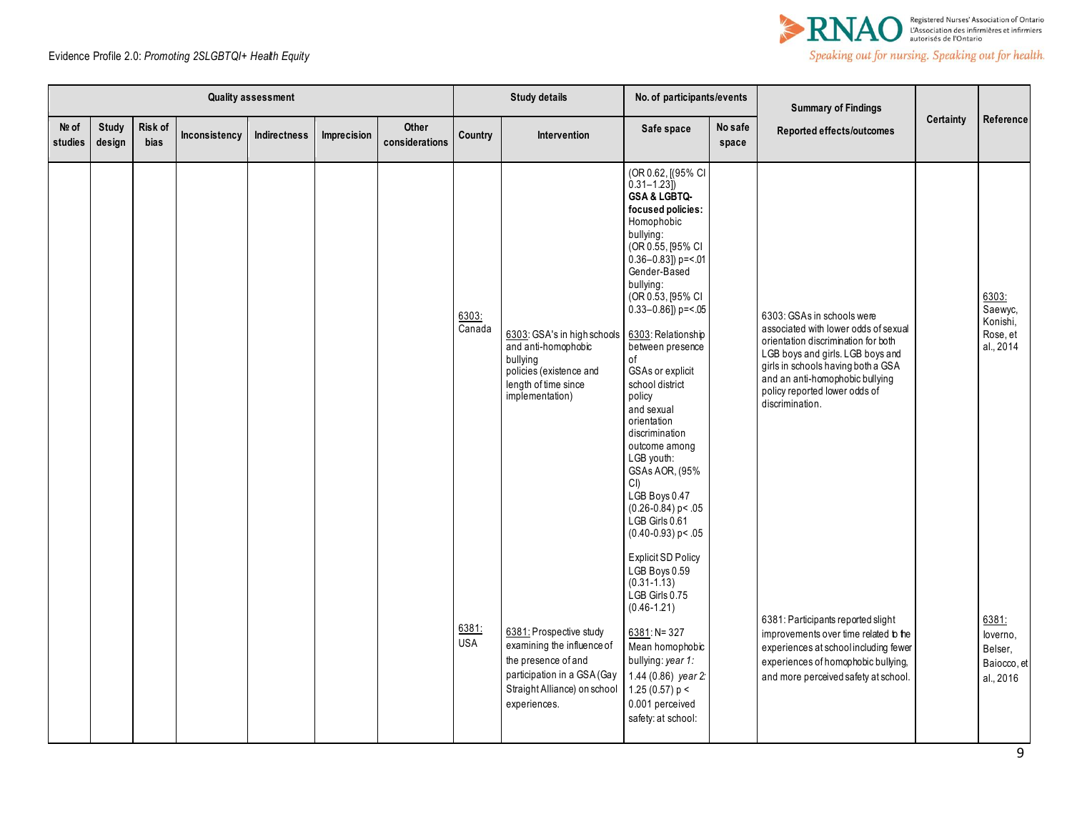

|                  |                 |                 |               | <b>Quality assessment</b> |             |                         |                              | <b>Study details</b>                                                                                                                                        | No. of participants/events                                                                                                                                                                                                                                                                                                                                                                                                                                                                                                            |                  | <b>Summary of Findings</b>                                                                                                                                                                                                                                                 |                  |                                                          |
|------------------|-----------------|-----------------|---------------|---------------------------|-------------|-------------------------|------------------------------|-------------------------------------------------------------------------------------------------------------------------------------------------------------|---------------------------------------------------------------------------------------------------------------------------------------------------------------------------------------------------------------------------------------------------------------------------------------------------------------------------------------------------------------------------------------------------------------------------------------------------------------------------------------------------------------------------------------|------------------|----------------------------------------------------------------------------------------------------------------------------------------------------------------------------------------------------------------------------------------------------------------------------|------------------|----------------------------------------------------------|
| Nº of<br>studies | Study<br>design | Risk of<br>bias | Inconsistency | Indirectness              | Imprecision | Other<br>considerations | Country                      | Intervention                                                                                                                                                | Safe space                                                                                                                                                                                                                                                                                                                                                                                                                                                                                                                            | No safe<br>space | Reported effects/outcomes                                                                                                                                                                                                                                                  | <b>Certainty</b> | Reference                                                |
|                  |                 |                 |               |                           |             |                         | 6303:<br>$\overline{Canada}$ | 6303: GSA's in high schools<br>and anti-homophobic<br>bullying<br>policies (existence and<br>length of time since<br>implementation)                        | (OR 0.62, [(95% CI<br>$0.31 - 1.23$ ]<br>GSA & LGBTQ-<br>focused policies:<br>Homophobic<br>bullying:<br>(OR 0.55, [95% CI<br>$0.36 - 0.83$ ]) p= <.01<br>Gender-Based<br>bullying:<br>(OR 0.53, [95% CI<br>$0.33 - 0.86$ ]) p= <.05<br>6303: Relationship<br>between presence<br>οf<br>GSAs or explicit<br>school district<br>policy<br>and sexual<br>orientation<br>discrimination<br>outcome among<br>LGB youth:<br>GSAs AOR, (95%<br>CI)<br>LGB Boys 0.47<br>$(0.26 - 0.84)$ p < .05<br>LGB Girls 0.61<br>$(0.40 - 0.93)$ p < .05 |                  | 6303: GSAs in schools were<br>associated with lower odds of sexual<br>orientation discrimination for both<br>LGB boys and girls. LGB boys and<br>girls in schools having both a GSA<br>and an anti-homophobic bullying<br>policy reported lower odds of<br>discrimination. |                  | 6303:<br>Saewyc.<br>Konishi,<br>Rose, et<br>al., 2014    |
|                  |                 |                 |               |                           |             |                         | 6381:<br><b>USA</b>          | 6381: Prospective study<br>examining the influence of<br>the presence of and<br>participation in a GSA (Gay<br>Straight Alliance) on school<br>experiences. | <b>Explicit SD Policy</b><br>LGB Boys 0.59<br>$(0.31 - 1.13)$<br>LGB Girls 0.75<br>$(0.46 - 1.21)$<br>$6381: N = 327$<br>Mean homophobic<br>bullying: year 1:<br>1.44 (0.86) year 2:<br>1.25 (0.57) $p <$<br>0.001 perceived<br>safety: at school:                                                                                                                                                                                                                                                                                    |                  | 6381: Participants reported slight<br>improvements over time related to the<br>experiences at school including fewer<br>experiences of homophobic bullying,<br>and more perceived safety at school.                                                                        |                  | 6381:<br>loverno,<br>Belser,<br>Baiocco, et<br>al., 2016 |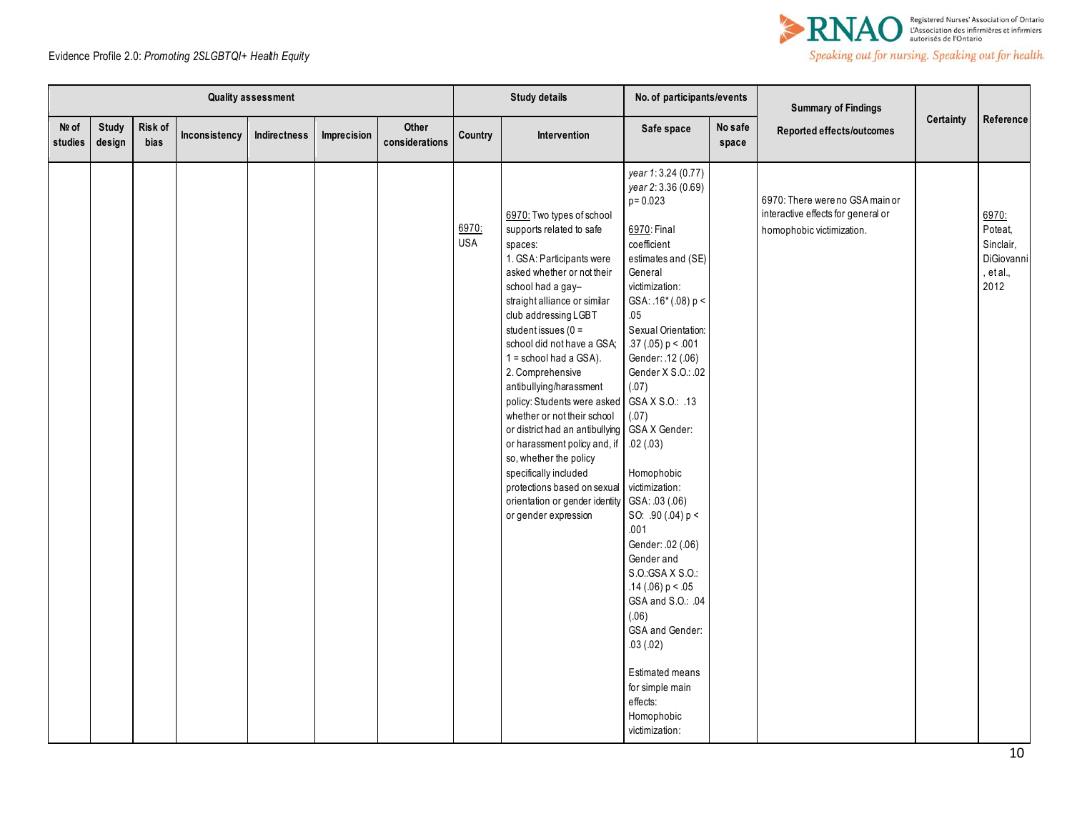

|                    |                        |                 |               | Quality assessment |             |                         |                     | <b>Study details</b>                                                                                                                                                                                                                                                                                                                                                                                                                                                                                                                                                                                                     | No. of participants/events                                                                                                                                                                                                                                                                                                                                                                                                                                                                                                                                                                                                                    |                  | <b>Summary of Findings</b>                                                                         |                  |                                                                  |
|--------------------|------------------------|-----------------|---------------|--------------------|-------------|-------------------------|---------------------|--------------------------------------------------------------------------------------------------------------------------------------------------------------------------------------------------------------------------------------------------------------------------------------------------------------------------------------------------------------------------------------------------------------------------------------------------------------------------------------------------------------------------------------------------------------------------------------------------------------------------|-----------------------------------------------------------------------------------------------------------------------------------------------------------------------------------------------------------------------------------------------------------------------------------------------------------------------------------------------------------------------------------------------------------------------------------------------------------------------------------------------------------------------------------------------------------------------------------------------------------------------------------------------|------------------|----------------------------------------------------------------------------------------------------|------------------|------------------------------------------------------------------|
| $Ne$ of<br>studies | <b>Study</b><br>design | Risk of<br>bias | Inconsistency | Indirectness       | Imprecision | Other<br>considerations | Country             | Intervention                                                                                                                                                                                                                                                                                                                                                                                                                                                                                                                                                                                                             | Safe space                                                                                                                                                                                                                                                                                                                                                                                                                                                                                                                                                                                                                                    | No safe<br>space | Reported effects/outcomes                                                                          | <b>Certainty</b> | Reference                                                        |
|                    |                        |                 |               |                    |             |                         | 6970:<br><b>USA</b> | 6970: Two types of school<br>supports related to safe<br>spaces:<br>1. GSA: Participants were<br>asked whether or not their<br>school had a gay-<br>straight alliance or similar<br>club addressing LGBT<br>student issues ( $0 =$<br>school did not have a GSA;<br>$1 =$ school had a GSA).<br>2. Comprehensive<br>antibullying/harassment<br>policy: Students were asked<br>whether or not their school<br>or district had an antibullying<br>or harassment policy and, if<br>so, whether the policy<br>specifically included<br>protections based on sexual<br>orientation or gender identity<br>or gender expression | year 1:3.24 (0.77)<br>year 2:3.36 (0.69)<br>$p = 0.023$<br>6970: Final<br>coefficient<br>estimates and (SE)<br>General<br>victimization:<br>GSA: .16* (.08) p <<br>.05<br>Sexual Orientation:<br>.37(.05) p < .001<br>Gender: .12 (.06)<br>Gender X S.O.: .02<br>(.07)<br>GSA X S.O.: .13<br>(.07)<br>GSA X Gender:<br>.02(.03)<br>Homophobic<br>victimization:<br>GSA: .03 (.06)<br>SO: $.90(.04) p <$<br>.001<br>Gender: .02 (.06)<br>Gender and<br>S.O.: GSA X S.O.:<br>.14 (.06) $p < .05$<br>GSA and S.O.: .04<br>(.06)<br>GSA and Gender:<br>.03(.02)<br>Estimated means<br>for simple main<br>effects:<br>Homophobic<br>victimization: |                  | 6970: There were no GSA main or<br>interactive effects for general or<br>homophobic victimization. |                  | 6970:<br>Poteat,<br>Sinclair,<br>DiGiovanni<br>, et al.,<br>2012 |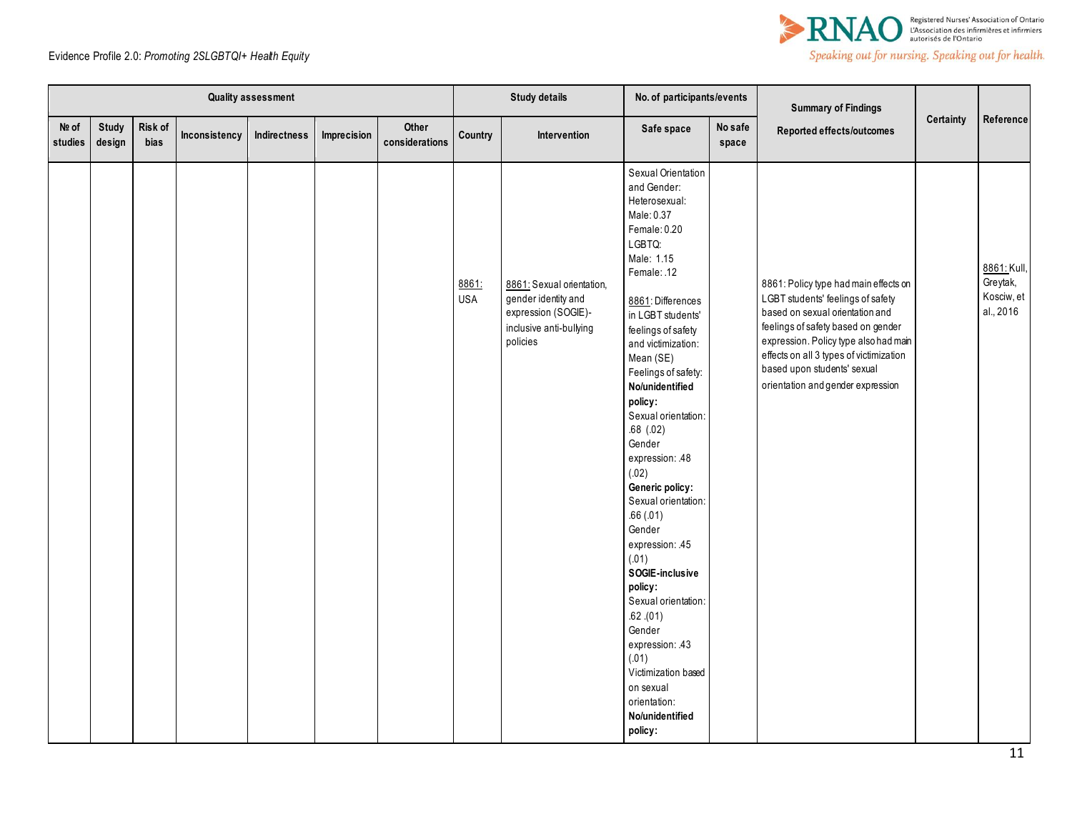

|                  |                        |                 |               | <b>Quality assessment</b> |             |                         |                     | <b>Study details</b>                                                                                           | No. of participants/events                                                                                                                                                                                                                                                                                                                                                                                                                                                                                                                                                                                                                             |                  | <b>Summary of Findings</b>                                                                                                                                                                                                                                                                                  |           |                                                    |
|------------------|------------------------|-----------------|---------------|---------------------------|-------------|-------------------------|---------------------|----------------------------------------------------------------------------------------------------------------|--------------------------------------------------------------------------------------------------------------------------------------------------------------------------------------------------------------------------------------------------------------------------------------------------------------------------------------------------------------------------------------------------------------------------------------------------------------------------------------------------------------------------------------------------------------------------------------------------------------------------------------------------------|------------------|-------------------------------------------------------------------------------------------------------------------------------------------------------------------------------------------------------------------------------------------------------------------------------------------------------------|-----------|----------------------------------------------------|
| Nº of<br>studies | <b>Study</b><br>design | Risk of<br>bias | Inconsistency | Indirectness              | Imprecision | Other<br>considerations | Country             | Intervention                                                                                                   | Safe space                                                                                                                                                                                                                                                                                                                                                                                                                                                                                                                                                                                                                                             | No safe<br>space | Reported effects/outcomes                                                                                                                                                                                                                                                                                   | Certainty | Reference                                          |
|                  |                        |                 |               |                           |             |                         | 8861:<br><b>USA</b> | 8861: Sexual orientation,<br>gender identity and<br>expression (SOGIE)-<br>inclusive anti-bullying<br>policies | Sexual Orientation<br>and Gender:<br>Heterosexual:<br>Male: 0.37<br>Female: 0.20<br>LGBTQ:<br>Male: 1.15<br>Female: .12<br>8861: Differences<br>in LGBT students'<br>feelings of safety<br>and victimization:<br>Mean (SE)<br>Feelings of safety:<br>No/unidentified<br>policy:<br>Sexual orientation:<br>$.68$ $(.02)$<br>Gender<br>expression: 48<br>(.02)<br>Generic policy:<br>Sexual orientation:<br>.66(.01)<br>Gender<br>expression: 45<br>(.01)<br>SOGIE-inclusive<br>policy:<br>Sexual orientation:<br>$.62$ . $(01)$<br>Gender<br>expression: .43<br>(.01)<br>Victimization based<br>on sexual<br>orientation:<br>No/unidentified<br>policy: |                  | 8861: Policy type had main effects on<br>LGBT students' feelings of safety<br>based on sexual orientation and<br>feelings of safety based on gender<br>expression. Policy type also had main<br>effects on all 3 types of victimization<br>based upon students' sexual<br>orientation and gender expression |           | 8861: Kull,<br>Greytak,<br>Kosciw, et<br>al., 2016 |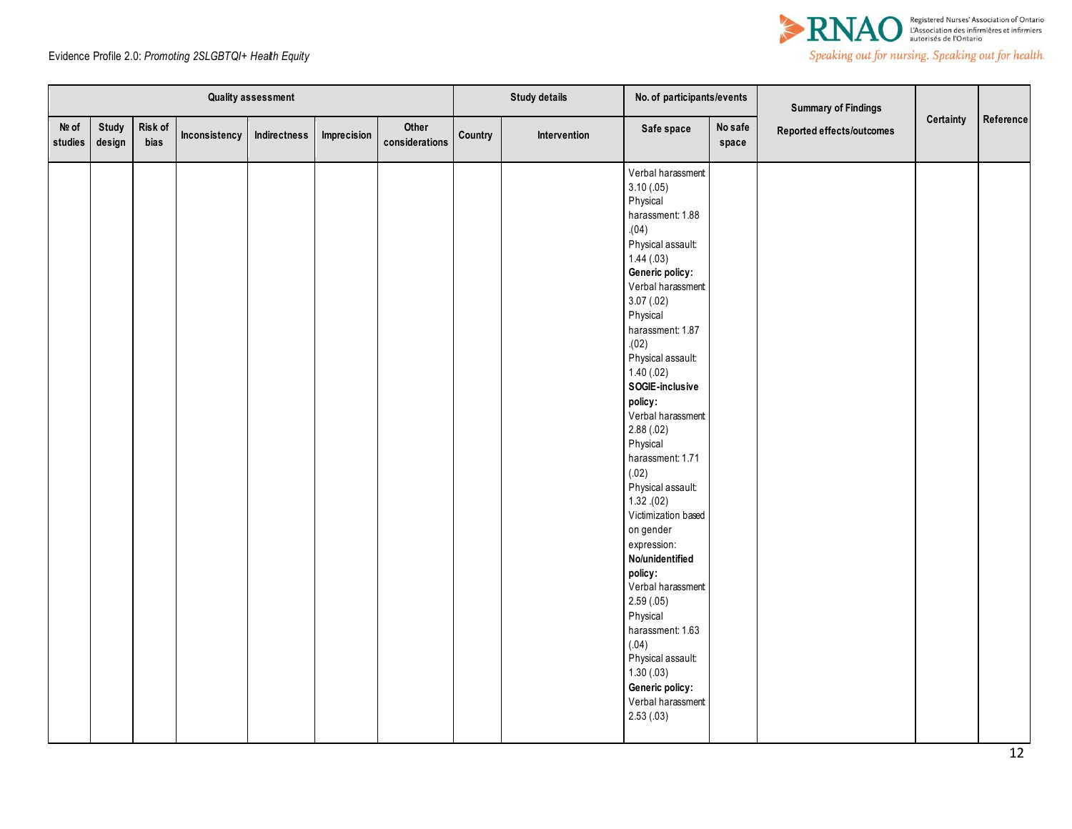

|                  |                        |                 |               | Quality assessment |             |                         |         | <b>Study details</b> | No. of participants/events                                                                                                                                                                                                                                                                                                                                                                                                                                                                                                                                                                                                              |                  | <b>Summary of Findings</b> |           |           |
|------------------|------------------------|-----------------|---------------|--------------------|-------------|-------------------------|---------|----------------------|-----------------------------------------------------------------------------------------------------------------------------------------------------------------------------------------------------------------------------------------------------------------------------------------------------------------------------------------------------------------------------------------------------------------------------------------------------------------------------------------------------------------------------------------------------------------------------------------------------------------------------------------|------------------|----------------------------|-----------|-----------|
| Nº of<br>studies | <b>Study</b><br>design | Risk of<br>bias | Inconsistency | Indirectness       | Imprecision | Other<br>considerations | Country | Intervention         | Safe space                                                                                                                                                                                                                                                                                                                                                                                                                                                                                                                                                                                                                              | No safe<br>space | Reported effects/outcomes  | Certainty | Reference |
|                  |                        |                 |               |                    |             |                         |         |                      | Verbal harassment<br>3.10(0.05)<br>Physical<br>harassment: 1.88<br>(04)<br>Physical assault:<br>1.44(03)<br>Generic policy:<br>Verbal harassment<br>3.07(.02)<br>Physical<br>harassment: 1.87<br>(02)<br>Physical assault:<br>1.40(0.02)<br>SOGIE-inclusive<br>policy:<br>Verbal harassment<br>2.88(.02)<br>Physical<br>harassment: 1.71<br>(.02)<br>Physical assault:<br>1.32(02)<br>Victimization based<br>on gender<br>expression:<br>No/unidentified<br>policy:<br>Verbal harassment<br>2.59(.05)<br>Physical<br>harassment: 1.63<br>(.04)<br>Physical assault:<br>1.30(0.03)<br>Generic policy:<br>Verbal harassment<br>2.53(0.03) |                  |                            |           |           |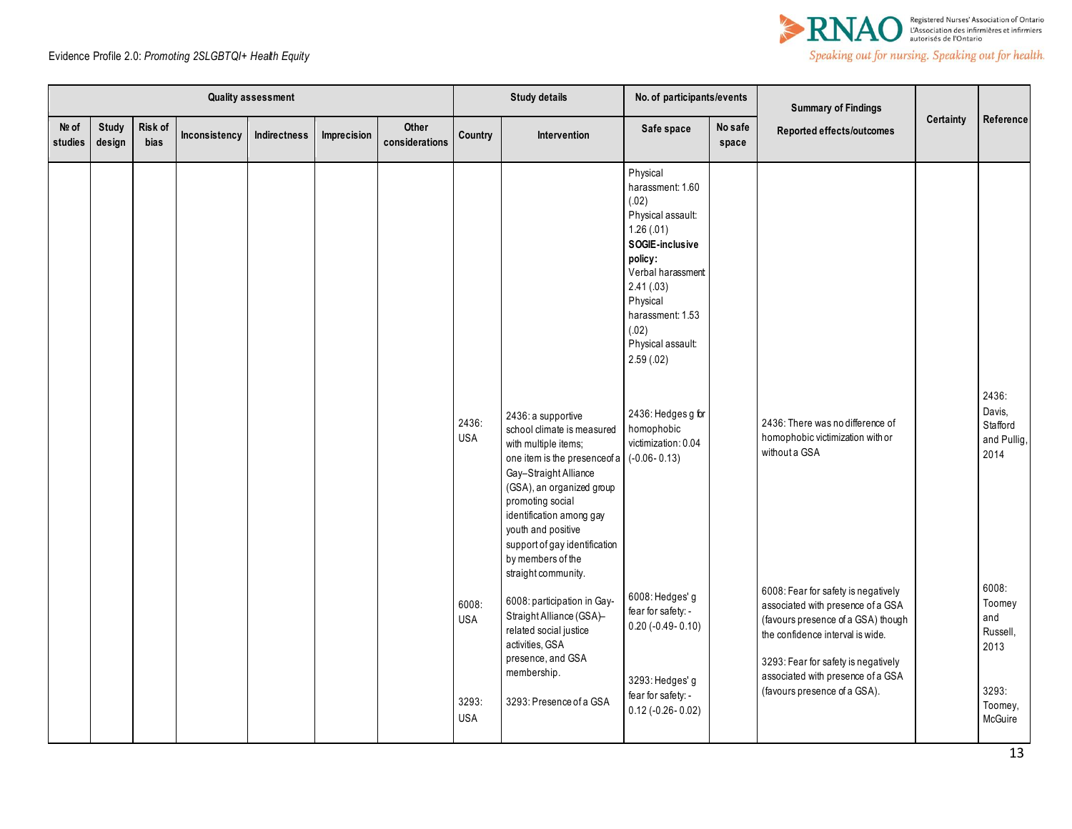

| <b>Quality assessment</b> |                 |                 |               |              |             |                         | <b>Study details</b>                       |                                                                                                                                                                                                                                                                                                                   | No. of participants/events                                                                                                                                                                                          |                  | <b>Summary of Findings</b>                                                                                                                                                                                                                                     |           |                                                                           |
|---------------------------|-----------------|-----------------|---------------|--------------|-------------|-------------------------|--------------------------------------------|-------------------------------------------------------------------------------------------------------------------------------------------------------------------------------------------------------------------------------------------------------------------------------------------------------------------|---------------------------------------------------------------------------------------------------------------------------------------------------------------------------------------------------------------------|------------------|----------------------------------------------------------------------------------------------------------------------------------------------------------------------------------------------------------------------------------------------------------------|-----------|---------------------------------------------------------------------------|
| Nº of<br>studies          | Study<br>design | Risk of<br>bias | Inconsistency | Indirectness | Imprecision | Other<br>considerations | Country                                    | Intervention                                                                                                                                                                                                                                                                                                      | Safe space                                                                                                                                                                                                          | No safe<br>space | Reported effects/outcomes                                                                                                                                                                                                                                      | Certainty | Reference                                                                 |
|                           |                 |                 |               |              |             |                         |                                            |                                                                                                                                                                                                                                                                                                                   | Physical<br>harassment: 1.60<br>(.02)<br>Physical assault:<br>1.26(.01)<br>SOGIE-inclusive<br>policy:<br>Verbal harassment<br>2.41(.03)<br>Physical<br>harassment: 1.53<br>(.02)<br>Physical assault:<br>2.59(0.02) |                  |                                                                                                                                                                                                                                                                |           |                                                                           |
|                           |                 |                 |               |              |             |                         | 2436:<br><b>USA</b>                        | 2436: a supportive<br>school climate is measured<br>with multiple items:<br>one item is the presenceof a<br>Gay-Straight Alliance<br>(GSA), an organized group<br>promoting social<br>identification among gay<br>youth and positive<br>support of gay identification<br>by members of the<br>straight community. | 2436: Hedges g for<br>homophobic<br>victimization: 0.04<br>$(-0.06 - 0.13)$                                                                                                                                         |                  | 2436: There was no difference of<br>homophobic victimization with or<br>without a GSA                                                                                                                                                                          |           | 2436:<br>Davis,<br>Stafford<br>and Pullig,<br>2014                        |
|                           |                 |                 |               |              |             |                         | 6008:<br><b>USA</b><br>3293:<br><b>USA</b> | 6008: participation in Gay-<br>Straight Alliance (GSA)-<br>related social justice<br>activities, GSA<br>presence, and GSA<br>membership.<br>3293: Presence of a GSA                                                                                                                                               | 6008: Hedges' g<br>fear for safety: -<br>$0.20 (-0.49 - 0.10)$<br>3293: Hedges' g<br>fear for safety: -<br>$0.12$ (-0.26-0.02)                                                                                      |                  | 6008: Fear for safety is negatively<br>associated with presence of a GSA<br>(favours presence of a GSA) though<br>the confidence interval is wide.<br>3293: Fear for safety is negatively<br>associated with presence of a GSA<br>(favours presence of a GSA). |           | 6008:<br>Toomey<br>and<br>Russell,<br>2013<br>3293:<br>Toomey,<br>McGuire |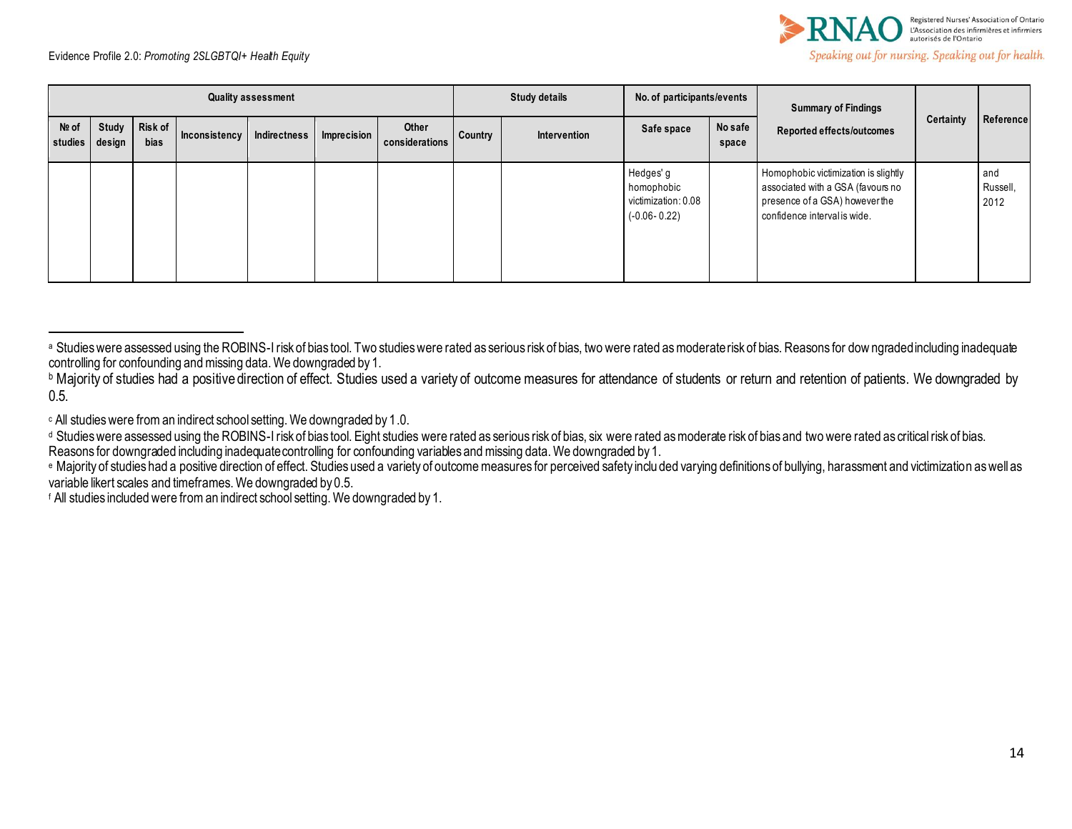

| <b>Quality assessment</b> |                 |                        |               |              |             |                         | <b>Study details</b> |              | No. of participants/events                                         |                  | <b>Summary of Findings</b>                                                                                                                  |           |                         |
|---------------------------|-----------------|------------------------|---------------|--------------|-------------|-------------------------|----------------------|--------------|--------------------------------------------------------------------|------------------|---------------------------------------------------------------------------------------------------------------------------------------------|-----------|-------------------------|
| $N2$ of<br>studies        | Study<br>design | Risk of<br><b>bias</b> | Inconsistency | Indirectness | Imprecision | Other<br>considerations | Country              | Intervention | Safe space                                                         | No safe<br>space | <b>Reported effects/outcomes</b>                                                                                                            | Certainty | Reference               |
|                           |                 |                        |               |              |             |                         |                      |              | Hedges' g<br>homophobic<br>victimization: 0.08<br>$(-0.06 - 0.22)$ |                  | Homophobic victimization is slightly<br>associated with a GSA (favours no<br>presence of a GSA) however the<br>confidence interval is wide. |           | and<br>Russell,<br>2012 |

<sup>c</sup> All studies were from an indirect school setting. We downgraded by 1.0.

Reasons for downgraded including inadequate controlling for confounding variables and missing data. We downgraded by 1.

<sup>&</sup>lt;sup>a</sup> Studies were assessed using the ROBINS-I risk of bias tool. Two studies were rated as serious risk of bias, two were rated as moderate risk of bias. Reasons for downgraded including inadequate controlling for confounding and missing data. We downgraded by 1.

**b Majority of studies had a positive direction of effect. Studies used a variety of outcome measures for attendance of students or return and retention of patients. We downgraded by** 0.5.

<sup>&</sup>lt;sup>d</sup> Studies were assessed using the ROBINS-I risk of bias tool. Eight studies were rated as serious risk of bias, six were rated as moderate risk of bias and two were rated as critical risk of bias.

e Majority of studies had a positive direction of effect. Studies used a variety of outcome measures for perceived safety inclu ded varying definitions of bullying, harassment and victimization as well as variable likert scales and timeframes. We downgraded by 0.5.

<sup>f</sup> All studies included were from an indirect school setting. We downgraded by 1.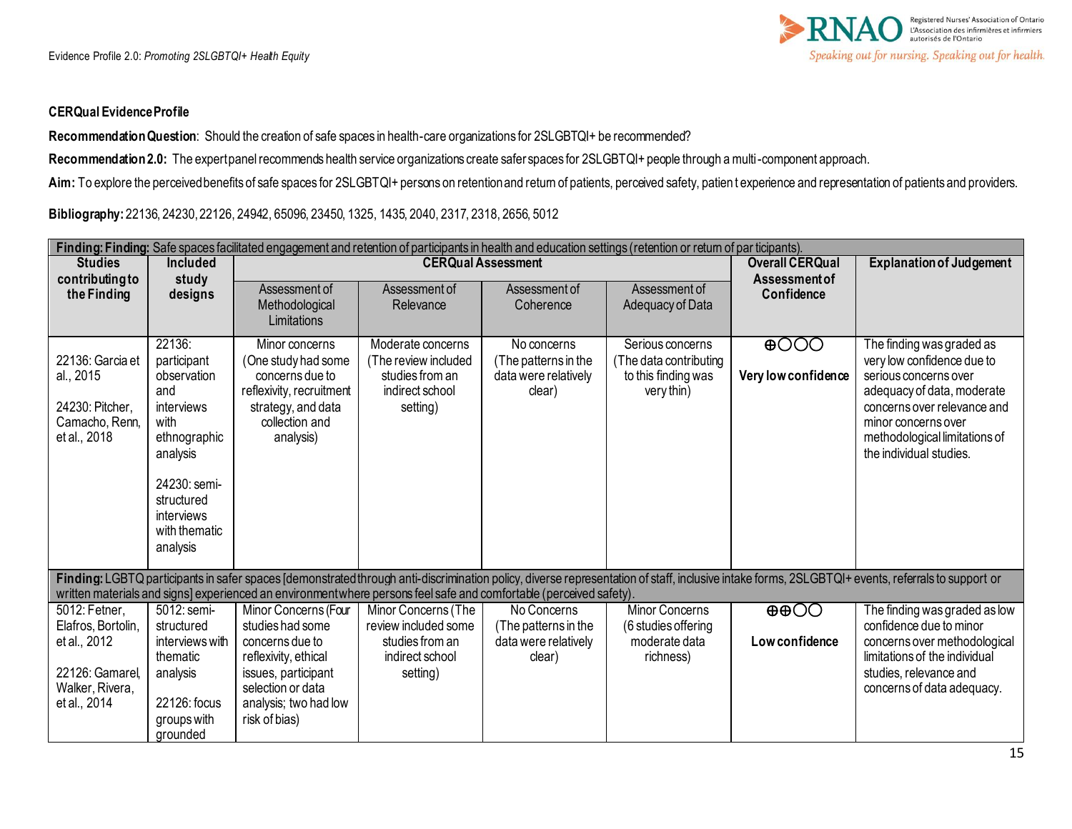## **CERQual Evidence Profile**

**Recommendation Question**: Should the creation of safe spaces in health-care organizations for 2SLGBTQI+ be recommended?

Recommendation 2.0: The expert panel recommends health service organizations create safer spaces for 2SLGBTQI+ people through a multi-component approach.

Aim: To explore the perceived benefits of safe spaces for 2SLGBTQI+ persons on retention and return of patients, perceived safety, patient experience and representation of patients and providers.

**Bibliography:** 22136, 24230, 22126, 24942, 65096, 23450, 1325, 1435, 2040, 2317, 2318, 2656, 5012

| Finding: Finding: Safe spaces facilitated engagement and retention of participants in health and education settings (retention or return of par ticipants). |                                                                                                                                                                        |                                                                                                                                                                           |                                                                                               |                                                                       |                                                                                  |                                     |                                                                                                                                                                                                                                  |  |  |
|-------------------------------------------------------------------------------------------------------------------------------------------------------------|------------------------------------------------------------------------------------------------------------------------------------------------------------------------|---------------------------------------------------------------------------------------------------------------------------------------------------------------------------|-----------------------------------------------------------------------------------------------|-----------------------------------------------------------------------|----------------------------------------------------------------------------------|-------------------------------------|----------------------------------------------------------------------------------------------------------------------------------------------------------------------------------------------------------------------------------|--|--|
| <b>Studies</b>                                                                                                                                              | <b>Included</b>                                                                                                                                                        |                                                                                                                                                                           | <b>CERQual Assessment</b>                                                                     | <b>Overall CERQual</b>                                                | <b>Explanation of Judgement</b>                                                  |                                     |                                                                                                                                                                                                                                  |  |  |
| contributing to<br>the Finding                                                                                                                              | study<br>designs                                                                                                                                                       | Assessment of<br>Methodological<br>Limitations                                                                                                                            | Assessment of<br>Relevance                                                                    | Assessment of<br>Coherence                                            | Assessment of<br>Adequacy of Data                                                | Assessment of<br>Confidence         |                                                                                                                                                                                                                                  |  |  |
| 22136: Garcia et<br>al., 2015<br>24230: Pitcher,<br>Camacho, Renn,<br>et al., 2018                                                                          | 22136:<br>participant<br>observation<br>and<br>interviews<br>with<br>ethnographic<br>analysis<br>24230: semi-<br>structured<br>interviews<br>with thematic<br>analysis | Minor concerns<br>(One study had some<br>concerns due to<br>reflexivity, recruitment<br>strategy, and data<br>collection and<br>analysis)                                 | Moderate concerns<br>(The review included<br>studies from an<br>indirect school<br>setting)   | No concerns<br>(The patterns in the<br>data were relatively<br>clear) | Serious concerns<br>(The data contributing)<br>to this finding was<br>very thin) | $\bigoplus$<br>Very low confidence  | The finding was graded as<br>very low confidence due to<br>serious concerns over<br>adequacy of data, moderate<br>concerns over relevance and<br>minor concerns over<br>methodological limitations of<br>the individual studies. |  |  |
|                                                                                                                                                             |                                                                                                                                                                        | written materials and signs] experienced an environmentwhere persons feel safe and comfortable (perceived safety).                                                        |                                                                                               |                                                                       |                                                                                  |                                     | Finding: LGBTQ participants in safer spaces [demonstrated through anti-discrimination policy, diverse representation of staff, inclusive intake forms, 2SLGBTQI+ events, referrals to support or                                 |  |  |
| 5012: Fetner,<br>Elafros, Bortolin,<br>et al., 2012<br>22126: Gamarel.<br>Walker, Rivera,<br>et al., 2014                                                   | 5012: semi-<br>structured<br>interviews with<br>thematic<br>analysis<br>22126: focus<br>groups with<br>grounded                                                        | Minor Concerns (Four<br>studies had some<br>concerns due to<br>reflexivity, ethical<br>issues, participant<br>selection or data<br>analysis; two had low<br>risk of bias) | Minor Concerns (The<br>review included some<br>studies from an<br>indirect school<br>setting) | No Concerns<br>(The patterns in the<br>data were relatively<br>clear) | <b>Minor Concerns</b><br>(6 studies offering<br>moderate data<br>richness)       | $\bigoplus$<br><b>Lowconfidence</b> | The finding was graded as low<br>confidence due to minor<br>concerns over methodological<br>limitations of the individual<br>studies, relevance and<br>concerns of data adequacy.                                                |  |  |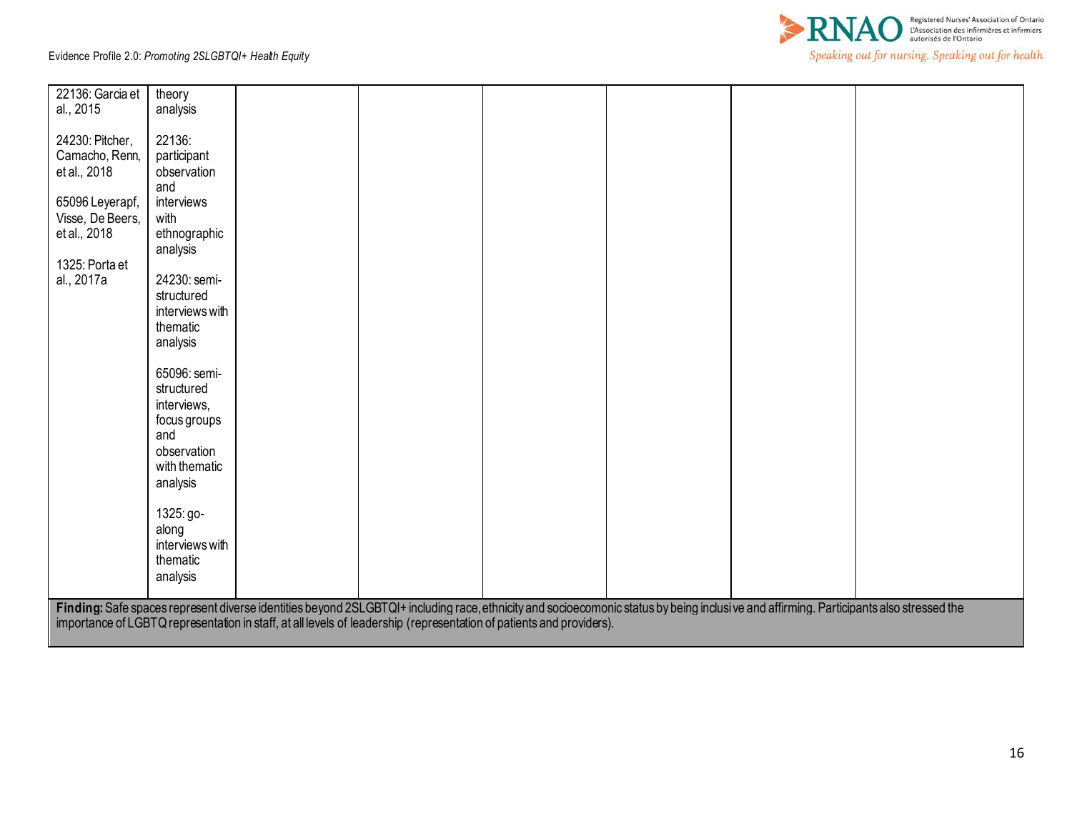

| 22136: Garcia et                                                                                                                                                                       | theory                                                                                                                                         |  |  |  |  |  |  |  |  |  |
|----------------------------------------------------------------------------------------------------------------------------------------------------------------------------------------|------------------------------------------------------------------------------------------------------------------------------------------------|--|--|--|--|--|--|--|--|--|
| al., 2015                                                                                                                                                                              | analysis                                                                                                                                       |  |  |  |  |  |  |  |  |  |
| 24230: Pitcher,<br>Camacho, Renn,<br>et al., 2018<br>65096 Leyerapf,<br>Visse, De Beers,<br>et al., 2018<br>1325: Porta et<br>al., 2017a                                               | 22136:<br>participant<br>observation<br>and<br>interviews<br>with<br>ethnographic<br>analysis<br>24230: semi-<br>structured<br>interviews with |  |  |  |  |  |  |  |  |  |
|                                                                                                                                                                                        | thematic                                                                                                                                       |  |  |  |  |  |  |  |  |  |
|                                                                                                                                                                                        | analysis                                                                                                                                       |  |  |  |  |  |  |  |  |  |
|                                                                                                                                                                                        | 65096: semi-<br>structured<br>interviews,<br>focus groups<br>and<br>observation<br>with thematic<br>analysis                                   |  |  |  |  |  |  |  |  |  |
|                                                                                                                                                                                        | 1325: go-                                                                                                                                      |  |  |  |  |  |  |  |  |  |
|                                                                                                                                                                                        | along<br>interviews with                                                                                                                       |  |  |  |  |  |  |  |  |  |
|                                                                                                                                                                                        | thematic                                                                                                                                       |  |  |  |  |  |  |  |  |  |
|                                                                                                                                                                                        | analysis                                                                                                                                       |  |  |  |  |  |  |  |  |  |
| Finding: Safe spaces represent diverse identities beyond 2SLGBTQI+ including race, ethnicity and socioecomonic status by being inclusive and affirming. Participants also stressed the |                                                                                                                                                |  |  |  |  |  |  |  |  |  |
|                                                                                                                                                                                        | importance of LGBTQ representation in staff, at all levels of leadership (representation of patients and providers).                           |  |  |  |  |  |  |  |  |  |
|                                                                                                                                                                                        |                                                                                                                                                |  |  |  |  |  |  |  |  |  |